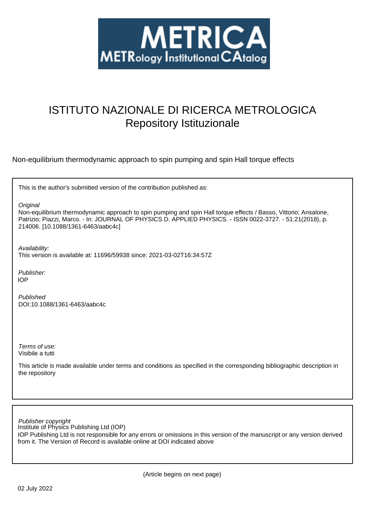

# ISTITUTO NAZIONALE DI RICERCA METROLOGICA Repository Istituzionale

Non-equilibrium thermodynamic approach to spin pumping and spin Hall torque effects

This is the author's submitted version of the contribution published as:

**Original** 

Non-equilibrium thermodynamic approach to spin pumping and spin Hall torque effects / Basso, Vittorio; Ansalone, Patrizio; Piazzi, Marco. - In: JOURNAL OF PHYSICS D. APPLIED PHYSICS. - ISSN 0022-3727. - 51:21(2018), p. 214006. [10.1088/1361-6463/aabc4c]

Availability: This version is available at: 11696/59938 since: 2021-03-02T16:34:57Z

Publisher: IOP

Published DOI:10.1088/1361-6463/aabc4c

Terms of use: Visibile a tutti

This article is made available under terms and conditions as specified in the corresponding bibliographic description in the repository

Institute of Physics Publishing Ltd (IOP) Publisher copyright

IOP Publishing Ltd is not responsible for any errors or omissions in this version of the manuscript or any version derived from it. The Version of Record is available online at DOI indicated above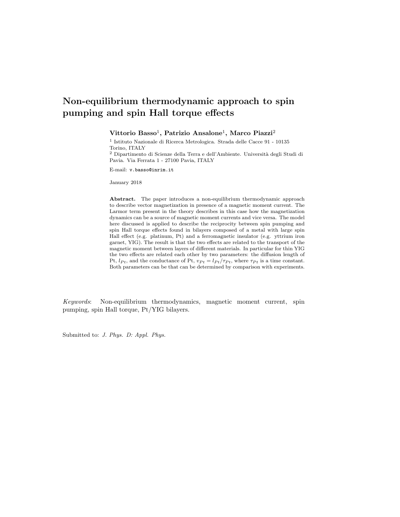Vittorio Basso<sup>1</sup>, Patrizio Ansalone<sup>1</sup>, Marco Piazzi<sup>2</sup>

1 Istituto Nazionale di Ricerca Metrologica. Strada delle Cacce 91 - 10135 Torino, ITALY

 $^2$  Dipartimento di Scienze della Terra e dell'Ambiente. Università degli Studi di Pavia. Via Ferrata 1 - 27100 Pavia, ITALY

E-mail: v.basso@inrim.it

January 2018

Abstract. The paper introduces a non-equilibrium thermodynamic approach to describe vector magnetization in presence of a magnetic moment current. The Larmor term present in the theory describes in this case how the magnetization dynamics can be a source of magnetic moment currents and vice versa. The model here discussed is applied to describe the reciprocity between spin pumping and spin Hall torque effects found in bilayers composed of a metal with large spin Hall effect (e.g. platinum, Pt) and a ferromagnetic insulator (e.g. yttrium iron garnet, YIG). The result is that the two effects are related to the transport of the magnetic moment between layers of different materials. In particular for thin YIG the two effects are related each other by two parameters: the diffusion length of Pt,  $l_{Pt}$ , and the conductance of Pt,  $v_{Pt} = l_{Pt}/\tau_{Pt}$ , where  $\tau_{Pt}$  is a time constant. Both parameters can be that can be determined by comparison with experiments.

Keywords: Non-equilibrium thermodynamics, magnetic moment current, spin pumping, spin Hall torque, Pt/YIG bilayers.

Submitted to: J. Phys. D: Appl. Phys.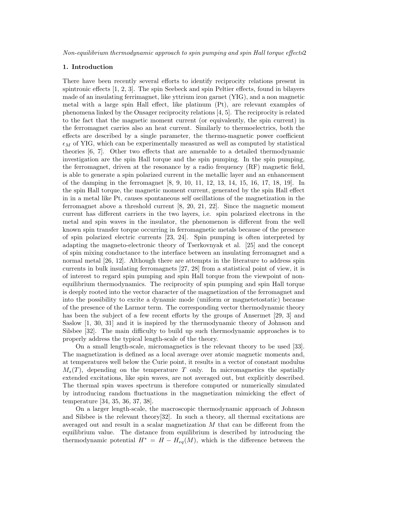# 1. Introduction

There have been recently several efforts to identify reciprocity relations present in spintronic effects [1, 2, 3]. The spin Seebeck and spin Peltier effects, found in bilayers made of an insulating ferrimagnet, like yttrium iron garnet (YIG), and a non magnetic metal with a large spin Hall effect, like platinum (Pt), are relevant examples of phenomena linked by the Onsager reciprocity relations [4, 5]. The reciprocity is related to the fact that the magnetic moment current (or equivalently, the spin current) in the ferromagnet carries also an heat current. Similarly to thermoelectrics, both the effects are described by a single parameter, the thermo-magnetic power coefficient  $\epsilon_M$  of YIG, which can be experimentally measured as well as computed by statistical theories [6, 7]. Other two effects that are amenable to a detailed thermodynamic investigation are the spin Hall torque and the spin pumping. In the spin pumping, the ferromagnet, driven at the resonance by a radio frequency (RF) magnetic field, is able to generate a spin polarized current in the metallic layer and an enhancement of the damping in the ferromagnet [8, 9, 10, 11, 12, 13, 14, 15, 16, 17, 18, 19]. In the spin Hall torque, the magnetic moment current, generated by the spin Hall effect in in a metal like Pt, causes spontaneous self oscillations of the magnetization in the ferromagnet above a threshold current [8, 20, 21, 22]. Since the magnetic moment current has different carriers in the two layers, i.e. spin polarized electrons in the metal and spin waves in the insulator, the phenomenon is different from the well known spin transfer torque occurring in ferromagnetic metals because of the presence of spin polarized electric currents [23, 24]. Spin pumping is often interpreted by adapting the magneto-electronic theory of Tserkovnyak et al. [25] and the concept of spin mixing conductance to the interface between an insulating ferromagnet and a normal metal [26, 12]. Although there are attempts in the literature to address spin currents in bulk insulating ferromagnets [27, 28] from a statistical point of view, it is of interest to regard spin pumping and spin Hall torque from the viewpoint of nonequilibrium thermodynamics. The reciprocity of spin pumping and spin Hall torque is deeply rooted into the vector character of the magnetization of the ferromagnet and into the possibility to excite a dynamic mode (uniform or magnetetostatic) because of the presence of the Larmor term. The corresponding vector thermodynamic theory has been the subject of a few recent efforts by the groups of Ansermet [29, 3] and Saslow [1, 30, 31] and it is inspired by the thermodynamic theory of Johnson and Silsbee [32]. The main difficulty to build up such thermodynamic approaches is to properly address the typical length-scale of the theory.

On a small length-scale, micromagnetics is the relevant theory to be used [33]. The magnetization is defined as a local average over atomic magnetic moments and, at temperatures well below the Curie point, it results in a vector of constant modulus  $M_s(T)$ , depending on the temperature T only. In micromagnetics the spatially extended excitations, like spin waves, are not averaged out, but explicitly described. The thermal spin waves spectrum is therefore computed or numerically simulated by introducing random fluctuations in the magnetization mimicking the effect of temperature [34, 35, 36, 37, 38].

On a larger length-scale, the macroscopic thermodynamic approach of Johnson and Silsbee is the relevant theory[32]. In such a theory, all thermal excitations are averaged out and result in a scalar magnetization M that can be different from the equilibrium value. The distance from equilibrium is described by introducing the thermodynamic potential  $H^* = H - H_{eq}(M)$ , which is the difference between the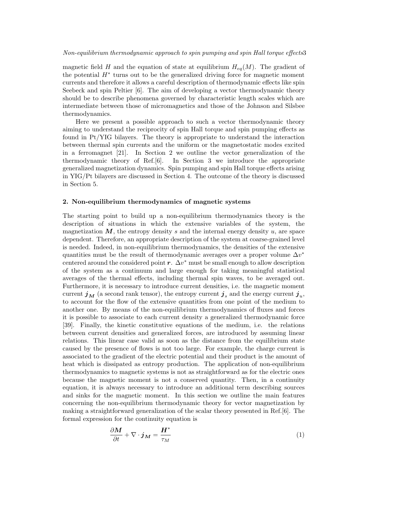magnetic field H and the equation of state at equilibrium  $H_{eq}(M)$ . The gradient of the potential H<sup>∗</sup> turns out to be the generalized driving force for magnetic moment currents and therefore it allows a careful description of thermodynamic effects like spin Seebeck and spin Peltier [6]. The aim of developing a vector thermodynamic theory should be to describe phenomena governed by characteristic length scales which are intermediate between those of micromagnetics and those of the Johnson and Silsbee thermodynamics.

Here we present a possible approach to such a vector thermodynamic theory aiming to understand the reciprocity of spin Hall torque and spin pumping effects as found in Pt/YIG bilayers. The theory is appropriate to understand the interaction between thermal spin currents and the uniform or the magnetostatic modes excited in a ferromagnet [21]. In Section 2 we outline the vector generalization of the thermodynamic theory of Ref.[6]. In Section 3 we introduce the appropriate generalized magnetization dynamics. Spin pumping and spin Hall torque effects arising in YIG/Pt bilayers are discussed in Section 4. The outcome of the theory is discussed in Section 5.

# 2. Non-equilibrium thermodynamics of magnetic systems

The starting point to build up a non-equilibrium thermodynamics theory is the description of situations in which the extensive variables of the system, the magnetization  $M$ , the entropy density s and the internal energy density  $u$ , are space dependent. Therefore, an appropriate description of the system at coarse-grained level is needed. Indeed, in non-equilibrium thermodynamics, the densities of the extensive quantities must be the result of thermodynamic averages over a proper volume  $\Delta v^*$ centered around the considered point  $r$ .  $\Delta v^*$  must be small enough to allow description of the system as a continuum and large enough for taking meaningful statistical averages of the thermal effects, including thermal spin waves, to be averaged out. Furthermore, it is necessary to introduce current densities, i.e. the magnetic moment current  $\boldsymbol{j}_M$  (a second rank tensor), the entropy current  $\boldsymbol{j}_s$  and the energy current  $\boldsymbol{j}_u$ , to account for the flow of the extensive quantities from one point of the medium to another one. By means of the non-equilibrium thermodynamics of fluxes and forces it is possible to associate to each current density a generalized thermodynamic force [39]. Finally, the kinetic constitutive equations of the medium, i.e. the relations between current densities and generalized forces, are introduced by assuming linear relations. This linear case valid as soon as the distance from the equilibrium state caused by the presence of flows is not too large. For example, the charge current is associated to the gradient of the electric potential and their product is the amount of heat which is dissipated as entropy production. The application of non-equilibrium thermodynamics to magnetic systems is not as straightforward as for the electric ones because the magnetic moment is not a conserved quantity. Then, in a continuity equation, it is always necessary to introduce an additional term describing sources and sinks for the magnetic moment. In this section we outline the main features concerning the non-equilibrium thermodynamic theory for vector magnetization by making a straightforward generalization of the scalar theory presented in Ref.[6]. The formal expression for the continuity equation is

$$
\frac{\partial M}{\partial t} + \nabla \cdot \boldsymbol{j}_M = \frac{\boldsymbol{H}^*}{\tau_M} \tag{1}
$$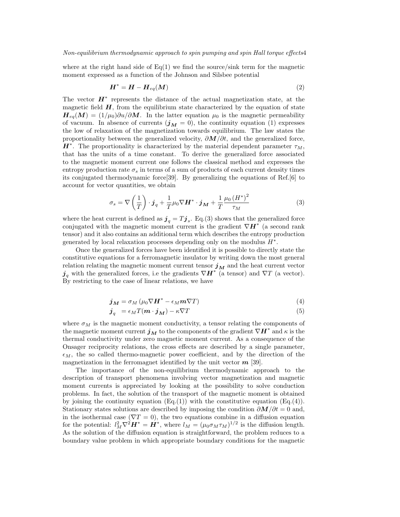where at the right hand side of  $Eq(1)$  we find the source/sink term for the magnetic moment expressed as a function of the Johnson and Silsbee potential

$$
H^* = H - H_{eq}(M) \tag{2}
$$

The vector  $\boldsymbol{H}^*$  represents the distance of the actual magnetization state, at the magnetic field  $H$ , from the equilibrium state characterized by the equation of state  $H_{eq}(M) = (1/\mu_0)\partial u/\partial M$ . In the latter equation  $\mu_0$  is the magnetic permeability of vacuum. In absence of currents  $(j_M = 0)$ , the continuity equation (1) expresses the low of relaxation of the magnetization towards equilibrium. The law states the proportionality between the generalized velocity,  $\partial M/\partial t$ , and the generalized force,  $H^*$ . The proportionality is characterized by the material dependent parameter  $\tau_M$ , that has the units of a time constant. To derive the generalized force associated to the magnetic moment current one follows the classical method and expresses the entropy production rate  $\sigma_s$  in terms of a sum of products of each current density times its conjugated thermodynamic force[39]. By generalizing the equations of Ref.[6] to account for vector quantities, we obtain

$$
\sigma_s = \nabla \left(\frac{1}{T}\right) \cdot \boldsymbol{j}_q + \frac{1}{T} \mu_0 \nabla \boldsymbol{H}^* \cdot \boldsymbol{j}_M + \frac{1}{T} \frac{\mu_0 \left(\boldsymbol{H}^*\right)^2}{\tau_M} \tag{3}
$$

where the heat current is defined as  $\boldsymbol{j}_q = T \boldsymbol{j}_s$ . Eq.(3) shows that the generalized force conjugated with the magnetic moment current is the gradient  $\nabla \boldsymbol{H}^*$  (a second rank tensor) and it also contains an additional term which describes the entropy production generated by local relaxation processes depending only on the modulus  $H^*$ .

Once the generalized forces have been identified it is possible to directly state the constitutive equations for a ferromagnetic insulator by writing down the most general relation relating the magnetic moment current tensor  $j_M$  and the heat current vector  $j_q$  with the generalized forces, i.e the gradients  $\nabla H^*$  (a tensor) and  $\nabla T$  (a vector). By restricting to the case of linear relations, we have

$$
\boldsymbol{j}_{\boldsymbol{M}} = \sigma_M \left( \mu_0 \nabla \boldsymbol{H}^* - \epsilon_M \boldsymbol{m} \nabla T \right) \tag{4}
$$

$$
\boldsymbol{j}_q = \epsilon_M T(\boldsymbol{m} \cdot \boldsymbol{j}_M) - \kappa \nabla T \tag{5}
$$

where  $\sigma_M$  is the magnetic moment conductivity, a tensor relating the components of the magnetic moment current  $\boldsymbol{j_M}$  to the components of the gradient  $\nabla \boldsymbol{H}^*$  and  $\kappa$  is the thermal conductivity under zero magnetic moment current. As a consequence of the Onsager reciprocity relations, the cross effects are described by a single parameter,  $\epsilon_M$ , the so called thermo-magnetic power coefficient, and by the direction of the magnetization in the ferromagnet identified by the unit vector  $m$  [39].

The importance of the non-equilibrium thermodynamic approach to the description of transport phenomena involving vector magnetization and magnetic moment currents is appreciated by looking at the possibility to solve conduction problems. In fact, the solution of the transport of the magnetic moment is obtained by joining the continuity equation  $(Eq.(1))$  with the constitutive equation  $(Eq.(4))$ . Stationary states solutions are described by imposing the condition  $\partial M/\partial t = 0$  and, in the isothermal case ( $\nabla T = 0$ ), the two equations combine in a diffusion equation for the potential:  $l_M^2 \nabla^2 \boldsymbol{H}^* = \boldsymbol{H}^*$ , where  $l_M = (\mu_0 \sigma_M \tau_M)^{1/2}$  is the diffusion length. As the solution of the diffusion equation is straightforward, the problem reduces to a boundary value problem in which appropriate boundary conditions for the magnetic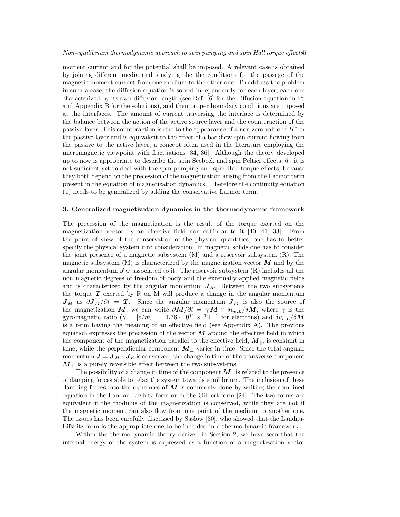moment current and for the potential shall be imposed. A relevant case is obtained by joining different media and studying the the conditions for the passage of the magnetic moment current from one medium to the other one. To address the problem in such a case, the diffusion equation is solved independently for each layer, each one characterized by its own diffusion length (see Ref. [6] for the diffusion equation in Pt and Appendix B for the solutions), and then proper boundary conditions are imposed at the interfaces. The amount of current traversing the interface is determined by the balance between the action of the active source layer and the counteraction of the passive layer. This counteraction is due to the appearance of a non zero value of  $H^*$  in the passive layer and is equivalent to the effect of a backflow spin current flowing from the passive to the active layer, a concept often used in the literature employing the micromagnetic viewpoint with fluctuations [34, 36]. Although the theory developed up to now is appropriate to describe the spin Seebeck and spin Peltier effects [6], it is not sufficient yet to deal with the spin pumping and spin Hall torque effects, because they both depend on the precession of the magnetization arising from the Larmor term present in the equation of magnetization dynamics. Therefore the continuity equation (1) needs to be generalized by adding the conservative Larmor term.

#### 3. Generalized magnetization dynamics in the thermodynamic framework

The precession of the magnetization is the result of the torque exerted on the magnetization vector by an effective field non collinear to it [40, 41, 33]. From the point of view of the conservation of the physical quantities, one has to better specify the physical system into consideration. In magnetic solids one has to consider the joint presence of a magnetic subsystem (M) and a reservoir subsystem (R). The magnetic subsystem  $(M)$  is characterized by the magnetization vector  $M$  and by the angular momentum  $J_M$  associated to it. The reservoir subsystem  $(R)$  includes all the non magnetic degrees of freedom of body and the externally applied magnetic fields and is characterized by the angular momentum  $J_R$ . Between the two subsystems the torque  $T$  exerted by R on M will produce a change in the angular momentum  $J_M$  as  $\partial J_M/\partial t = T$ . Since the angular momentum  $J_M$  is also the source of the magnetization M, we can write  $\partial M/\partial t = \gamma M \times \delta u_{e,L}/\delta M$ , where  $\gamma$  is the gyromagnetic ratio  $(\gamma = |e/m_e| = 1.76 \cdot 10^{11} \text{ s}^{-1} \text{T}^{-1}$  for electrons) and  $\delta u_{e,L}/\delta M$ is a term having the meaning of an effective field (see Appendix A). The previous equation expresses the precession of the vector  $\boldsymbol{M}$  around the effective field in which the component of the magnetization parallel to the effective field,  $M_{\parallel}$ , is constant in time, while the perpendicular component  $M_{\perp}$  varies in time. Since the total angular momentum  $J = J_M + J_R$  is conserved, the change in time of the transverse component  $M_{\perp}$  is a purely reversible effect between the two subsystems.

The possibility of a change in time of the component  $M_{\parallel}$  is related to the presence of damping forces able to relax the system towards equilibrium. The inclusion of these damping forces into the dynamics of  $\overline{M}$  is commonly done by writing the combined equation in the Landau-Lifshitz form or in the Gilbert form [24]. The two forms are equivalent if the modulus of the magnetization is conserved, while they are not if the magnetic moment can also flow from one point of the medium to another one. The issues has been carefully discussed by Saslow [30], who showed that the Landau-Lifshitz form is the appropriate one to be included in a thermodynamic framework.

Within the thermodynamic theory derived in Section 2, we have seen that the internal energy of the system is expressed as a function of a magnetization vector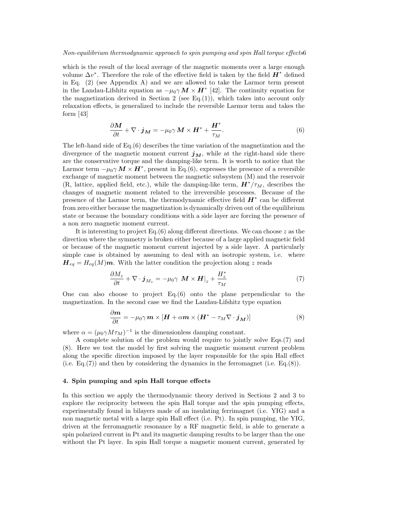which is the result of the local average of the magnetic moments over a large enough volume  $\Delta v^*$ . Therefore the role of the effective field is taken by the field  $\boldsymbol{H}^*$  defined in Eq.  $(2)$  (see Appendix A) and we are allowed to take the Larmor term present in the Landau-Lifshitz equation as  $-\mu_0 \gamma \, M \times H^*$  [42]. The continuity equation for the magnetization derived in Section 2 (see Eq.(1)), which takes into account only relaxation effects, is generalized to include the reversible Larmor term and takes the form [43]

$$
\frac{\partial M}{\partial t} + \nabla \cdot \boldsymbol{j}_M = -\mu_0 \gamma \, M \times \boldsymbol{H}^* + \frac{\boldsymbol{H}^*}{\tau_M}.
$$
 (6)

The left-hand side of Eq.(6) describes the time variation of the magnetization and the divergence of the magnetic moment current  $j_M$ , while at the right-hand side there are the conservative torque and the damping-like term. It is worth to notice that the Larmor term  $-\mu_0 \gamma \, M \times H^*$ , present in Eq.(6), expresses the presence of a reversible exchange of magnetic moment between the magnetic subsystem (M) and the reservoir (R, lattice, applied field, etc.), while the damping-like term,  $\mathbf{H}^*/\tau_M$ , describes the changes of magnetic moment related to the irreversible processes. Because of the presence of the Larmor term, the thermodynamic effective field  $H^*$  can be different from zero either because the magnetization is dynamically driven out of the equilibrium state or because the boundary conditions with a side layer are forcing the presence of a non zero magnetic moment current.

It is interesting to project Eq. $(6)$  along different directions. We can choose z as the direction where the symmetry is broken either because of a large applied magnetic field or because of the magnetic moment current injected by a side layer. A particularly simple case is obtained by assuming to deal with an isotropic system, i.e. where  $H_{eq} = H_{eq}(M)$ m. With the latter condition the projection along z reads

$$
\frac{\partial M_z}{\partial t} + \nabla \cdot \boldsymbol{j}_{M_z} = -\mu_0 \gamma \, \boldsymbol{M} \times \boldsymbol{H} \big|_z + \frac{H_z^*}{\tau_M} \tag{7}
$$

One can also choose to project Eq.(6) onto the plane perpendicular to the magnetization. In the second case we find the Landau-Lifshitz type equation

$$
\frac{\partial \mathbf{m}}{\partial t} = -\mu_0 \gamma \, \mathbf{m} \times [\mathbf{H} + \alpha \mathbf{m} \times (\mathbf{H}^* - \tau_M \nabla \cdot \mathbf{j}_M)] \tag{8}
$$

where  $\alpha = (\mu_0 \gamma M \tau_M)^{-1}$  is the dimensionless damping constant.

A complete solution of the problem would require to jointly solve Eqs.(7) and (8). Here we test the model by first solving the magnetic moment current problem along the specific direction imposed by the layer responsible for the spin Hall effect (i.e. Eq.(7)) and then by considering the dynamics in the ferromagnet (i.e. Eq.(8)).

# 4. Spin pumping and spin Hall torque effects

In this section we apply the thermodynamic theory derived in Sections 2 and 3 to explore the reciprocity between the spin Hall torque and the spin pumping effects, experimentally found in bilayers made of an insulating ferrimagnet (i.e. YIG) and a non magnetic metal with a large spin Hall effect (i.e. Pt). In spin pumping, the YIG, driven at the ferromagnetic resonance by a RF magnetic field, is able to generate a spin polarized current in Pt and its magnetic damping results to be larger than the one without the Pt layer. In spin Hall torque a magnetic moment current, generated by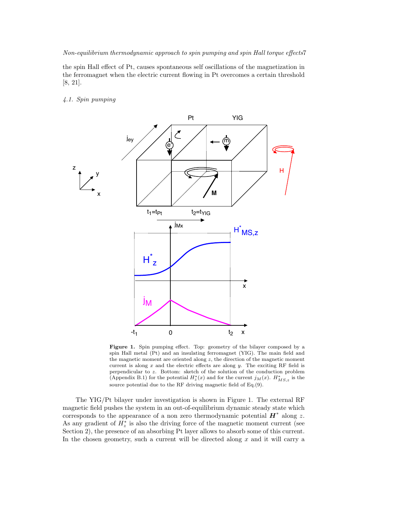the spin Hall effect of Pt, causes spontaneous self oscillations of the magnetization in the ferromagnet when the electric current flowing in Pt overcomes a certain threshold [8, 21].

# 4.1. Spin pumping



Figure 1. Spin pumping effect. Top: geometry of the bilayer composed by a spin Hall metal (Pt) and an insulating ferromagnet (YIG). The main field and the magnetic moment are oriented along z, the direction of the magnetic moment current is along  $x$  and the electric effects are along  $y$ . The exciting RF field is perpendicular to z. Bottom: sketch of the solution of the conduction problem (Appendix B.1) for the potential  $H_z^*(x)$  and for the current  $j_M(x)$ .  $H_{MS,z}^*$  is the source potential due to the RF driving magnetic field of Eq.(9).

The YIG/Pt bilayer under investigation is shown in Figure 1. The external RF magnetic field pushes the system in an out-of-equilibrium dynamic steady state which corresponds to the appearance of a non zero thermodynamic potential  $\boldsymbol{H}^*$  along z. As any gradient of  $H_z^*$  is also the driving force of the magnetic moment current (see Section 2), the presence of an absorbing Pt layer allows to absorb some of this current. In the chosen geometry, such a current will be directed along  $x$  and it will carry a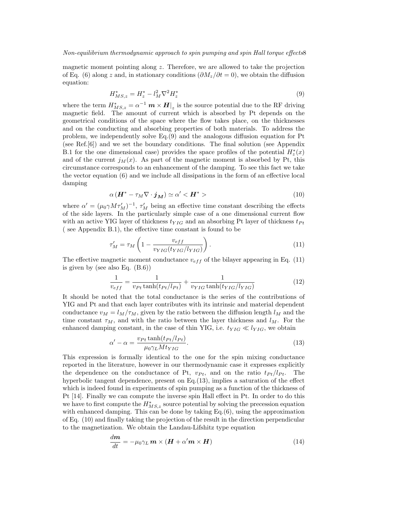magnetic moment pointing along  $z$ . Therefore, we are allowed to take the projection of Eq. (6) along z and, in stationary conditions  $(\partial M_z/\partial t = 0)$ , we obtain the diffusion equation:

$$
H_{MS,z}^* = H_z^* - l_M^2 \nabla^2 H_z^* \tag{9}
$$

where the term  $H^*_{MS,z} = \alpha^{-1} \, \mathbf{m} \times \mathbf{H} \vert_z$  is the source potential due to the RF driving magnetic field. The amount of current which is absorbed by Pt depends on the geometrical conditions of the space where the flow takes place, on the thicknesses and on the conducting and absorbing properties of both materials. To address the problem, we independently solve Eq.(9) and the analogous diffusion equation for Pt (see Ref.[6]) and we set the boundary conditions. The final solution (see Appendix B.1 for the one dimensional case) provides the space profiles of the potential  $H_z^*(x)$ and of the current  $j<sub>M</sub>(x)$ . As part of the magnetic moment is absorbed by Pt, this circumstance corresponds to an enhancement of the damping. To see this fact we take the vector equation (6) and we include all dissipations in the form of an effective local damping

$$
\alpha \left( \mathbf{H}^* - \tau_M \nabla \cdot \mathbf{j}_M \right) \simeq \alpha' < \mathbf{H}^* \tag{10}
$$

where  $\alpha' = (\mu_0 \gamma M \tau_M')^{-1}$ ,  $\tau_M'$  being an effective time constant describing the effects of the side layers. In the particularly simple case of a one dimensional current flow with an active YIG layer of thickness  $t_{YIG}$  and an absorbing Pt layer of thickness  $t_{Pt}$ ( see Appendix B.1), the effective time constant is found to be

$$
\tau'_{M} = \tau_{M} \left( 1 - \frac{v_{eff}}{v_{YIG}(t_{YIG})|_{YIG}} \right). \tag{11}
$$

The effective magnetic moment conductance  $v_{eff}$  of the bilayer appearing in Eq. (11) is given by (see also Eq. (B.6))

$$
\frac{1}{v_{eff}} = \frac{1}{v_{Pt} \tanh(t_{Pt}/l_{Pt})} + \frac{1}{v_{YIG} \tanh(t_{YIG}/l_{YIG})}
$$
(12)

It should be noted that the total conductance is the series of the contributions of YIG and Pt and that each layer contributes with its intrinsic and material dependent conductance  $v_M = l_M/\tau_M$ , given by the ratio between the diffusion length  $l_M$  and the time constant  $\tau_M$ , and with the ratio between the layer thickness and  $l_M$ . For the enhanced damping constant, in the case of thin YIG, i.e.  $t_{YIG} \ll l_{YIG}$ , we obtain

$$
\alpha' - \alpha = \frac{v_{Pt} \tanh(t_{Pt}/l_{Pt})}{\mu_0 \gamma_L M t_{YIG}}.
$$
\n(13)

This expression is formally identical to the one for the spin mixing conductance reported in the literature, however in our thermodynamic case it expresses explicitly the dependence on the conductance of Pt,  $v_{Pt}$ , and on the ratio  $t_{Pt}/l_{Pt}$ . The hyperbolic tangent dependence, present on Eq.(13), implies a saturation of the effect which is indeed found in experiments of spin pumping as a function of the thickness of Pt [14]. Finally we can compute the inverse spin Hall effect in Pt. In order to do this we have to first compute the  $H_{MS,z}^*$  source potential by solving the precession equation with enhanced damping. This can be done by taking Eq.(6), using the approximation of Eq. (10) and finally taking the projection of the result in the direction perpendicular to the magnetization. We obtain the Landau-Lifshitz type equation

$$
\frac{dm}{dt} = -\mu_0 \gamma_L \, \mathbf{m} \times (\mathbf{H} + \alpha' \mathbf{m} \times \mathbf{H}) \tag{14}
$$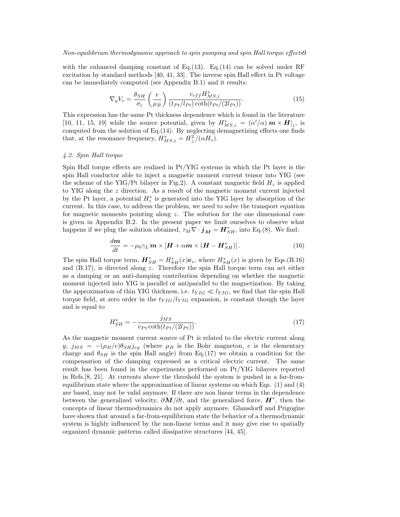with the enhanced damping constant of Eq.(13). Eq.(14) can be solved under RF excitation by standard methods [40, 41, 33]. The inverse spin Hall effect in Pt voltage can be immediately computed (see Appendix B.1) and it results:

$$
\nabla_y V_e = \frac{\theta_{SH}}{\sigma_e} \left(\frac{e}{\mu_B}\right) \frac{v_{eff} H_{MS,z}^*}{(t_{Pt}/l_{Pt}) \coth(t_{Pt}/(2l_{Pt}))}.
$$
\n(15)

This expression has the same Pt thickness dependence which is found in the literature [10, 11, 15, 19] while the source potential, given by  $H^*_{MS,z} = (\alpha'/\alpha) \mathbf{m} \times \mathbf{H}|_z$ , is computed from the solution of Eq.(14). By neglecting demagnetizing effects one finds that, at the resonance frequency,  $H^*_{MS,z} = H^2_{\perp}/(\alpha H_z)$ .

# 4.2. Spin Hall torque

Spin Hall torque effects are realized in Pt/YIG systems in which the Pt layer is the spin Hall conductor able to inject a magnetic moment current tensor into YIG (see the scheme of the YIG/Pt bilayer in Fig.2). A constant magnetic field  $H_z$  is applied to YIG along the z direction. As a result of the magnetic moment current injected by the Pt layer, a potential  $H_z^*$  is generated into the YIG layer by absorption of the current. In this case, to address the problem, we need to solve the transport equation for magnetic moments pointing along z. The solution for the one dimensional case is given in Appendix B.2. In the present paper we limit ourselves to observe what happens if we plug the solution obtained,  $\tau_M \nabla \cdot \mathbf{j}_M = \mathbf{H}_{SH}^*$ , into Eq.(8). We find:

$$
\frac{dm}{dt} = -\mu_0 \gamma_L \, \mathbf{m} \times [\mathbf{H} + \alpha \mathbf{m} \times (\mathbf{H} - \mathbf{H}_{SH}^*)]. \tag{16}
$$

The spin Hall torque term,  $\mathbf{H}_{SH}^* = H_{SH}^*(x)\mathbf{e}_z$ , where  $H_{SH}^*(x)$  is given by Eqs.(B.16) and (B.17), is directed along z. Therefore the spin Hall torque term can act either as a damping or an anti-damping contribution depending on whether the magnetic moment injected into YIG is parallel or antiparallel to the magnetization. By taking the approximation of thin YIG thickness, i.e.  $t_{YIG} \ll l_{YIG}$ , we find that the spin Hall torque field, at zero order in the  $t_{YIG}/l_{YIG}$  expansion, is constant though the layer and is equal to

$$
H_{SH}^{*} = -\frac{j_{MS}}{v_{Pt}\coth(t_{Pt}/(2l_{Pt}))}.
$$
\n(17)

As the magnetic moment current source of Pt is related to the electric current along  $y, j_{MS} = -(\mu_B/e)\theta_{SH}j_{ey}$  (where  $\mu_B$  is the Bohr magneton, e is the elementary charge and  $\theta_{SH}$  is the spin Hall angle) from Eq.(17) we obtain a condition for the compensation of the damping expressed as a critical electric current. The same result has been found in the experiments performed on Pt/YIG bilayers reported in Refs.[8, 21]. At currents above the threshold the system is pushed in a far-fromequilibrium state where the approximation of linear systems on which Eqs. (1) and (4) are based, may not be valid anymore. If there are non linear terms in the dependence between the generalized velocity,  $\partial M/\partial t$ , and the generalized force,  $\boldsymbol{H}^*$ , then the concepts of linear thermodynamics do not apply anymore. Glansdorff and Prigogine have shown that around a far-from-equilibrium state the behavior of a thermodynamic system is highly influenced by the non-linear terms and it may give rise to spatially organized dynamic patterns called dissipative structures [44, 45].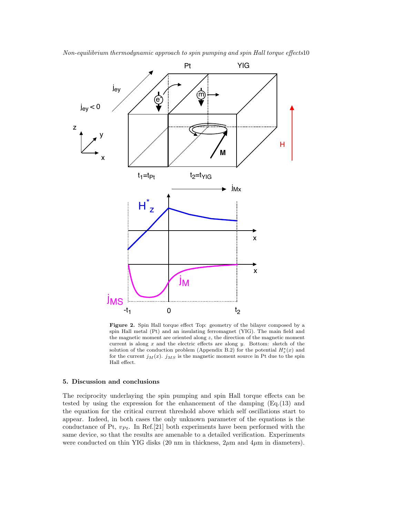

Figure 2. Spin Hall torque effect Top: geometry of the bilayer composed by a spin Hall metal (Pt) and an insulating ferromagnet (YIG). The main field and the magnetic moment are oriented along  $z$ , the direction of the magnetic moment current is along  $x$  and the electric effects are along  $y$ . Bottom: sketch of the solution of the conduction problem (Appendix B.2) for the potential  $H_z^*(x)$  and for the current  $j_M(x)$ .  $j_{MS}$  is the magnetic moment source in Pt due to the spin Hall effect.

# 5. Discussion and conclusions

The reciprocity underlaying the spin pumping and spin Hall torque effects can be tested by using the expression for the enhancement of the damping (Eq.(13) and the equation for the critical current threshold above which self oscillations start to appear. Indeed, in both cases the only unknown parameter of the equations is the conductance of Pt,  $v_{Pt}$ . In Ref.[21] both experiments have been performed with the same device, so that the results are amenable to a detailed verification. Experiments were conducted on thin YIG disks  $(20 \text{ nm in thickness}, 2 \mu \text{m and } 4 \mu \text{m in diameters}).$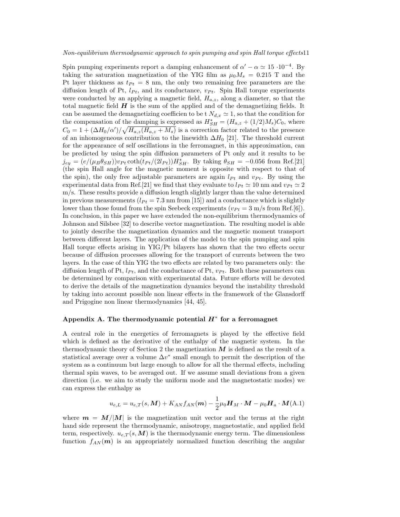Spin pumping experiments report a damping enhancement of  $\alpha' - \alpha \simeq 15 \cdot 10^{-4}$ . By taking the saturation magnetization of the YIG film as  $\mu_0 M_s = 0.215$  T and the Pt layer thickness as  $t_{Pt} = 8$  nm, the only two remaining free parameters are the diffusion length of Pt,  $l_{Pt}$ , and its conductance,  $v_{Pt}$ . Spin Hall torque experiments were conducted by an applying a magnetic field,  $H_{a,z}$ , along a diameter, so that the total magnetic field  $H$  is the sum of the applied and of the demagnetizing fields. It can be assumed the demagnetizing coefficien to be t  $N_{d,x} \simeq 1$ , so that the condition for the compensation of the damping is expressed as  $H_{SH}^* = (H_{a,z} + (1/2)M_s)C_0$ , where  $C_0 = 1 + (\Delta H_0/\alpha')/\sqrt{H_{a,z}(H_{a,z}+M_s)}$  is a correction factor related to the presence of an inhomogeneous contribution to the linewidth  $\Delta H_0$  [21]. The threshold current for the appearance of self oscillations in the ferromagnet, in this approximation, can be predicted by using the spin diffusion parameters of Pt only and it results to be  $j_{ey} = (e/(\mu_B \theta_{SH}))v_{Pt} \coth(t_{Pt}/(2l_{Pt}))H_{SH}^*$ . By taking  $\theta_{SH} = -0.056$  from Ref.[21] (the spin Hall angle for the magnetic moment is opposite with respect to that of the spin), the only free adjustable parameters are again  $l_{Pt}$  and  $v_{Pt}$ . By using the experimental data from Ref.[21] we find that they evaluate to  $l_{Pt} \simeq 10$  nm and  $v_{Pt} \simeq 2$ m/s. These results provide a diffusion length slightly larger than the value determined in previous measurements  $(l_{Pt} = 7.3 \text{ nm from } [15])$  and a conductance which is slightly lower than those found from the spin Seebeck experiments ( $v_{Pt} = 3$  m/s from Ref.[6]). In conclusion, in this paper we have extended the non-equilibrium thermodynamics of Johnson and Silsbee [32] to describe vector magnetization. The resulting model is able to jointly describe the magnetization dynamics and the magnetic moment transport between different layers. The application of the model to the spin pumping and spin Hall torque effects arising in YIG/Pt bilayers has shown that the two effects occur because of diffusion processes allowing for the transport of currents between the two layers. In the case of thin YIG the two effects are related by two parameters only: the diffusion length of Pt,  $l_{Pt}$ , and the conductance of Pt,  $v_{Pt}$ . Both these parameters can be determined by comparison with experimental data. Future efforts will be devoted to derive the details of the magnetization dynamics beyond the instability threshold by taking into account possible non linear effects in the framework of the Glansdorff and Prigogine non linear thermodynamics [44, 45].

# Appendix A. The thermodynamic potential  $H^*$  for a ferromagnet

A central role in the energetics of ferromagnets is played by the effective field which is defined as the derivative of the enthalpy of the magnetic system. In the thermodynamic theory of Section 2 the magnetization  $M$  is defined as the result of a statistical average over a volume  $\Delta v^*$  small enough to permit the description of the system as a continuum but large enough to allow for all the thermal effects, including thermal spin waves, to be averaged out. If we assume small deviations from a given direction (i.e. we aim to study the uniform mode and the magnetostatic modes) we can express the enthalpy as

$$
u_{e,L} = u_{e,T}(s, \mathbf{M}) + K_{AN} f_{AN}(\mathbf{m}) - \frac{1}{2} \mu_0 \mathbf{H}_M \cdot \mathbf{M} - \mu_0 \mathbf{H}_a \cdot \mathbf{M}(\text{A.1})
$$

where  $m = M/|M|$  is the magnetization unit vector and the terms at the right hand side represent the thermodynamic, anisotropy, magnetostatic, and applied field term, respectively.  $u_{e,T}(s,M)$  is the thermodynamic energy term. The dimensionless function  $f_{AN}(m)$  is an appropriately normalized function describing the angular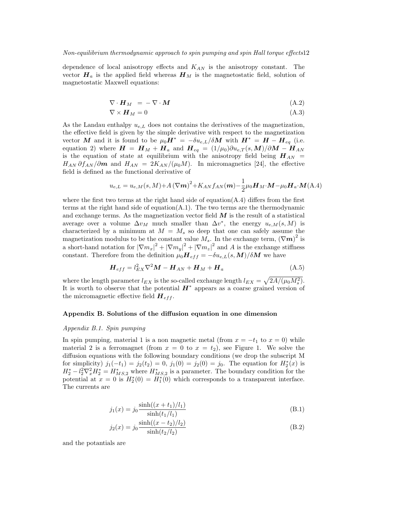dependence of local anisotropy effects and  $K_{AN}$  is the anisotropy constant. The vector  $H_a$  is the applied field whereas  $H_M$  is the magnetostatic field, solution of magnetostatic Maxwell equations:

$$
\nabla \cdot \boldsymbol{H}_M = -\nabla \cdot \boldsymbol{M} \tag{A.2}
$$

$$
\nabla \times \mathbf{H}_M = 0 \tag{A.3}
$$

As the Landau enthalpy  $u_{e,L}$  does not contains the derivatives of the magnetization, the effective field is given by the simple derivative with respect to the magnetization vector M and it is found to be  $\mu_0 H^* = -\delta u_{e,L}/\delta M$  with  $H^* = H - H_{eq}$  (i.e. equation 2) where  $\boldsymbol{H} = \boldsymbol{H}_M + \boldsymbol{H}_a$  and  $\boldsymbol{H}_{eq} = (1/\mu_0)\partial u_{e,T}(s,\boldsymbol{M})/\partial \boldsymbol{M} - \boldsymbol{H}_{AN}$ is the equation of state at equilibrium with the anisotropy field being  $H_{AN}$  =  $H_{AN} \partial f_{AN}/\partial m$  and  $H_{AN} = 2K_{AN}/(\mu_0 M)$ . In micromagnetics [24], the effective field is defined as the functional derivative of

$$
u_{e,L} = u_{e,M}(s,M) + A(\nabla m)^2 + K_{AN} f_{AN}(m) - \frac{1}{2} \mu_0 H_M \cdot M - \mu_0 H_a \cdot M(\text{A.4})
$$

where the first two terms at the right hand side of equation( $A.4$ ) differs from the first terms at the right hand side of equation $(A.1)$ . The two terms are the thermodynamic and exchange terms. As the magnetization vector field  $M$  is the result of a statistical average over a volume  $\Delta v_M$  much smaller than  $\Delta v^*$ , the energy  $u_{e,M}(s,M)$  is characterized by a minimum at  $M = M_s$  so deep that one can safely assume the magnetization modulus to be the constant value  $\overrightarrow{M_s}$ . In the exchange term,  $(\nabla m)^2$  is a short-hand notation for  $|\nabla m_x|^2 + |\nabla m_y|^2 + |\nabla m_z|^2$  and A is the exchange stiffness constant. Therefore from the definition  $\mu_0 \mathbf{H}_{eff} = -\delta u_{e,L}(s,\mathbf{M})/\delta \mathbf{M}$  we have

$$
\boldsymbol{H}_{eff} = l_{EX}^2 \nabla^2 \boldsymbol{M} - \boldsymbol{H}_{AN} + \boldsymbol{H}_M + \boldsymbol{H}_a \tag{A.5}
$$

where the length parameter  $l_{EX}$  is the so-called exchange length  $l_{EX} = \sqrt{2A/(\mu_0 M_s^2)}$ . It is worth to observe that the potential  $\boldsymbol{H}^*$  appears as a coarse grained version of the micromagnetic effective field  $H_{eff}$ .

## Appendix B. Solutions of the diffusion equation in one dimension

#### Appendix B.1. Spin pumping

In spin pumping, material 1 is a non magnetic metal (from  $x = -t_1$  to  $x = 0$ ) while material 2 is a ferromagnet (from  $x = 0$  to  $x = t_2$ ), see Figure 1. We solve the diffusion equations with the following boundary conditions (we drop the subscript M for simplicity)  $j_1(-t_1) = j_2(t_2) = 0$ ,  $j_1(0) = j_2(0) = j_0$ . The equation for  $H_2^*(x)$  is  $H_2^* - l_2^2 \nabla_x^2 H_2^* = H_{MS,2}^*$  where  $H_{MS,2}^*$  is a parameter. The boundary condition for the potential at  $x = 0$  is  $H_2^*(0) = H_1^*(0)$  which corresponds to a transparent interface. The currents are

$$
j_1(x) = j_0 \frac{\sinh((x+t_1)/l_1)}{\sinh(t_1/l_1)}
$$
(B.1)

$$
j_2(x) = j_0 \frac{\sinh((x - t_2)/l_2)}{\sinh(t_2/l_2)}
$$
(B.2)

and the potantials are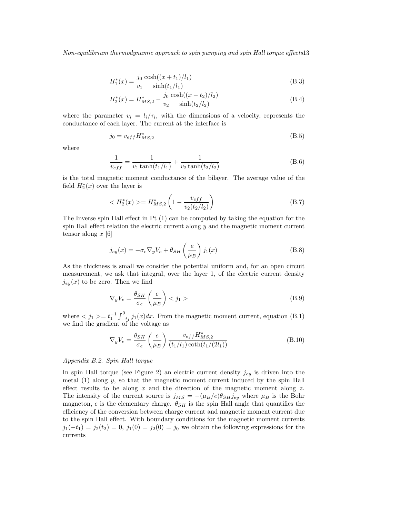$$
H_1^*(x) = \frac{j_0 \cosh((x+t_1)/l_1)}{y_1 \sinh(t_1/l_1)}
$$
(B.3)

$$
H_2^*(x) = H_{MS,2}^* - \frac{j_0 \cosh((x - t_2)/l_2)}{v_2 \sinh(t_2/l_2)}
$$
(B.4)

where the parameter  $v_i = l_i/\tau_i$ , with the dimensions of a velocity, represents the conductance of each layer. The current at the interface is

$$
j_0 = v_{eff} H^*_{MS,2} \tag{B.5}
$$

where

$$
\frac{1}{v_{eff}} = \frac{1}{v_1 \tanh(t_1/l_1)} + \frac{1}{v_2 \tanh(t_2/l_2)}
$$
(B.6)

is the total magnetic moment conductance of the bilayer. The average value of the field  $H_2^*(x)$  over the layer is

$$
\langle H_2^*(x) \rangle = H_{MS,2}^* \left( 1 - \frac{v_{eff}}{v_2(t_2/l_2)} \right) \tag{B.7}
$$

The Inverse spin Hall effect in Pt (1) can be computed by taking the equation for the spin Hall effect relation the electric current along  $y$  and the magnetic moment current tensor along  $x \, 6$ 

$$
j_{ey}(x) = -\sigma_e \nabla_y V_e + \theta_{SH} \left(\frac{e}{\mu_B}\right) j_1(x)
$$
 (B.8)

As the thickness is small we consider the potential uniform and, for an open circuit measurement, we ask that integral, over the layer 1, of the electric current density  $j_{ey}(x)$  to be zero. Then we find

$$
\nabla_y V_e = \frac{\theta_{SH}}{\sigma_e} \left(\frac{e}{\mu_B}\right) < j_1 > \tag{B.9}
$$

where  $\langle j_1 \rangle = t_1^{-1} \int_{-t_1}^0 j_1(x) dx$ . From the magnetic moment current, equation (B.1) we find the gradient of the voltage as

$$
\nabla_y V_e = \frac{\theta_{SH}}{\sigma_e} \left(\frac{e}{\mu_B}\right) \frac{v_{eff} H_{MS,2}^*}{(t_1/l_1)\coth(t_1/(2l_1))}
$$
(B.10)

# Appendix B.2. Spin Hall torque

In spin Hall torque (see Figure 2) an electric current density  $j_{ey}$  is driven into the metal  $(1)$  along y, so that the magnetic moment current induced by the spin Hall effect results to be along  $x$  and the direction of the magnetic moment along  $z$ . The intensity of the current source is  $j_{MS} = -(\mu_B/e)\theta_{SH}j_{ey}$  where  $\mu_B$  is the Bohr magneton, e is the elementary charge.  $\theta_{SH}$  is the spin Hall angle that quantifies the efficiency of the conversion between charge current and magnetic moment current due to the spin Hall effect. With boundary conditions for the magnetic moment currents  $j_1(-t_1) = j_2(t_2) = 0, j_1(0) = j_2(0) = j_0$  we obtain the following expressions for the currents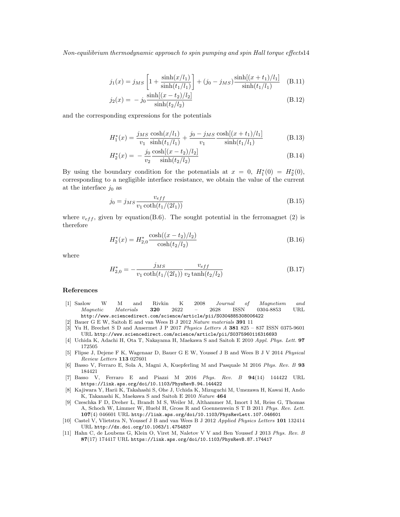$$
j_1(x) = j_{MS} \left[ 1 + \frac{\sinh(x/l_1)}{\sinh(t_1/l_1)} \right] + (j_0 - j_{MS}) \frac{\sinh[(x + t_1)/l_1]}{\sinh(t_1/l_1)} \quad (B.11)
$$

$$
j_2(x) = -j_0 \frac{\sinh[(x - t_2)/l_2]}{\sinh(t_2/l_2)}
$$
(B.12)

and the corresponding expressions for the potentials

$$
H_1^*(x) = \frac{j_{MS} \cosh(x/l_1)}{v_1 \sinh(t_1/l_1)} + \frac{j_0 - j_{MS} \cosh[(x + t_1)/l_1]}{v_1 \sinh(t_1/l_1)}
$$
(B.13)

$$
H_2^*(x) = -\frac{j_0 \cosh[(x - t_2)/l_2]}{y_2 \sinh(t_2/l_2)}
$$
(B.14)

By using the boundary condition for the potenatials at  $x = 0$ ,  $H_1^*(0) = H_2^*(0)$ , corresponding to a negligible interface resistance, we obtain the value of the current at the interface  $j_0$  as

$$
j_0 = j_{MS} \frac{v_{eff}}{v_1 \coth(t_1/(2l_1))}
$$
(B.15)

where  $v_{eff}$ , given by equation(B.6). The sought potential in the ferromagnet (2) is therefore

$$
H_2^*(x) = H_{2,0}^* \frac{\cosh((x - t_2)/l_2)}{\cosh(t_2/l_2)}\tag{B.16}
$$

where

$$
H_{2,0}^{*} = -\frac{j_{MS}}{v_1 \coth(t_1/(2l_1))} \frac{v_{eff}}{v_2 \tanh(t_2/l_2)}\tag{B.17}
$$

# References

- [1] Saslow W M and Rivkin K 2008 Journal of Magnetism and Magnetic Materials 320 2622 – 2628 ISSN 0304-8853 URL http://www.sciencedirect.com/science/article/pii/S0304885308006422
- [2] Bauer G E W, Saitoh E and van Wees B J 2012 Nature materials 391 11
- [3] Yu H, Brechet S D and Ansermet J P 2017 Physics Letters A 381 825 837 ISSN 0375-9601 URL http://www.sciencedirect.com/science/article/pii/S0375960116316693
- [4] Uchida K, Adachi H, Ota T, Nakayama H, Maekawa S and Saitoh E 2010 Appl. Phys. Lett. 97 172505
- [5] Flipse J, Dejene F K, Wagenaar D, Bauer G E W, Youssef J B and Wees B J V 2014 Physical Review Letters 113 027601
- [6] Basso V, Ferraro E, Sola A, Magni A, Kuepferling M and Pasquale M 2016 Phys. Rev. B 93 184421
- [7] Basso V, Ferraro E and Piazzi M 2016 Phys. Rev. B 94(14) 144422 URL https://link.aps.org/doi/10.1103/PhysRevB.94.144422
- [8] Kajiwara Y, Harii K, Takahashi S, Ohe J, Uchida K, Mizuguchi M, Umezawa H, Kawai H, Ando K, Takanashi K, Maekawa S and Saitoh E 2010 Nature 464
- [9] Czeschka F D, Dreher L, Brandt M S, Weiler M, Althammer M, Imort I M, Reiss G, Thomas A, Schoch W, Limmer W, Huebl H, Gross R and Goennenwein S T B 2011 Phys. Rev. Lett. 107(4) 046601 URL http://link.aps.org/doi/10.1103/PhysRevLett.107.046601
- [10] Castel V, Vlietstra N, Youssef J B and van Wees B J 2012 Applied Physics Letters 101 132414 URL http://dx.doi.org/10.1063/1.4754837
- [11] Hahn C, de Loubens G, Klein O, Viret M, Naletov V V and Ben Youssef J 2013 Phys. Rev. B 87(17) 174417 URL https://link.aps.org/doi/10.1103/PhysRevB.87.174417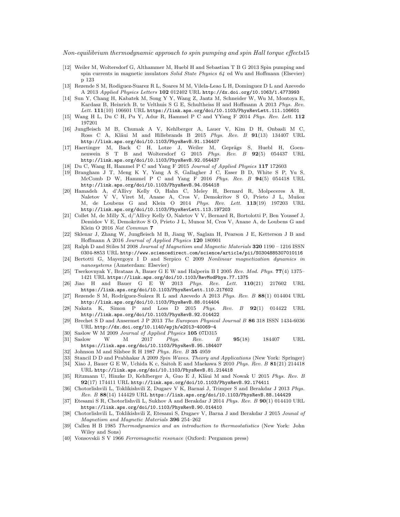- [12] Weiler M, Woltersdorf G, Althammer M, Huebl H and Sebastian T B G 2013 Spin pumping and spin currents in magnetic insulators Solid State Physics  $64$  ed Wu and Hoffmann (Elsevier) p 123
- [13] Rezende S M, Rodiguez-Suarez R L, Soares M M, Vilela-Leao L H, Dominguez D L and Azevedo A 2013 Applied Physics Letters 102 012402 URL http://dx.doi.org/10.1063/1.4773993
- [14] Sun Y, Chang H, Kabatek M, Song Y Y, Wang Z, Jantz M, Schneider W, Wu M, Montoya E, Kardasz B, Heinrich B, te Velthuis S G E, Schultheiss H and Hoffmann A 2013 Phys. Rev.  $Lett.\,\, {\bf 111} (10)\,\, 106601\,\, \mathrm{URL}\,\, \hbox{https://link.aps.org/doi/10.1103/PhysRevLett.111.106601}$
- [15] Wang H L, Du C H, Pu Y, Adur R, Hammel P C and YYang F 2014 Phys. Rev. Lett. 112 197201
- [16] Jungfleisch M B, Chumak A V, Kehlberger A, Lauer V, Kim D H, Onbasli M C, Ross C A, Kläui M and Hillebrands B 2015 Phys. Rev. B 91(13) 134407 URL http://link.aps.org/doi/10.1103/PhysRevB.91.134407
- [17] Haertinger M, Back C H, Lotze J, Weiler M, Geprägs S, Huebl H, Goennenwein S T B and Woltersdorf G 2015 Phys. Rev. B 92(5) 054437 URL http://link.aps.org/doi/10.1103/PhysRevB.92.054437
- [18] Du C, Wang H, Hammel P C and Yang F 2015 Journal of Applied Physics 117 172603
- [19] Brangham J T, Meng K Y, Yang A S, Gallagher J C, Esser B D, White S P, Yu S, McComb D W, Hammel P C and Yang F 2016 Phys. Rev. B  $94(5)$  054418 URL http://link.aps.org/doi/10.1103/PhysRevB.94.054418
- [20] Hamadeh A, d'Allivy Kelly O, Hahn C, Meley H, Bernard R, Molpeceres A H, Naletov V V, Viret M, Anane A, Cros V, Demokritov S O, Prieto J L, Muñoz M, de Loubens G and Klein O 2014 Phys. Rev. Lett. 113(19) 197203 URL http://link.aps.org/doi/10.1103/PhysRevLett.113.197203
- [21] Collet M, de Milly X, d/'Allivy Kelly O, Naletov V V, Bernard R, Bortolotti P, Ben Youssef J, Demidov V E, Demokritov S O, Prieto J L, Munoz M, Cros V, Anane A, de Loubens G and Klein O 2016 Nat Commun 7
- [22] Sklenar J, Zhang W, Jungfleisch M B, Jiang W, Saglam H, Pearson J E, Ketterson J B and Hoffmann A 2016 Journal of Applied Physics 120 180901
- [23] Ralph D and Stiles M 2008 Journal of Magnetism and Magnetic Materials 320 1190 1216 ISSN 0304-8853 URL http://www.sciencedirect.com/science/article/pii/S0304885307010116
- [24] Bertotti G, Mayergoyz I D and Serpico C 2009 Nonlinear magnetization dynamics in nanosystems (Amsterdam: Elsevier)
- [25] Tserkovnyak Y, Brataas A, Bauer G E W and Halperin B I 2005 Rev. Mod. Phys. 77(4) 1375– 1421 URL https://link.aps.org/doi/10.1103/RevModPhys.77.1375
- [26] Jiao H and Bauer G E W 2013 Phys. Rev. Lett. 110(21) 217602 URL https://link.aps.org/doi/10.1103/PhysRevLett.110.217602
- [27] Rezende S M, Rodríguez-Suárez R L and Azevedo A 2013 Phys. Rev. B  $88(1)$  014404 URL http://link.aps.org/doi/10.1103/PhysRevB.88.014404
- [28] Nakata K, Simon P and Loss D 2015 Phys. Rev. B 92(1) 014422 URL http://link.aps.org/doi/10.1103/PhysRevB.92.014422
- [29] Brechet S D and Ansermet J P 2013 The European Physical Journal B 86 318 ISSN 1434-6036 URL http://dx.doi.org/10.1140/epjb/e2013-40069-4
- [30] Saslow W M 2009 Journal of Applied Physics 105 07D315
- [31] Saslow W M 2017 Phys. Rev. B 95(18) 184407 URL https://link.aps.org/doi/10.1103/PhysRevB.95.184407
- [32] Johnson M and Silsbee R H 1987 Phys. Rev. B 35 4959
- [33] Stancil D D and Prabhakar A 2009 Spin Waves. Theory and Applications (New York: Springer)
- [34] Xiao J, Bauer G E W, Uchida K c, Saitoh E and Maekawa S 2010 Phys. Rev. B 81(21) 214418 URL http://link.aps.org/doi/10.1103/PhysRevB.81.214418
- [35] Ritzmann U, Hinzke D, Kehlberger A, Guo E J, Kläui M and Nowak U 2015 Phys. Rev. B 92(17) 174411 URL http://link.aps.org/doi/10.1103/PhysRevB.92.174411
- [36] Chotorlishvili L, Toklikishvili Z, Dugaev V K, Barnas J, Trimper S and Berakdar J 2013 Phys. Rev. B 88(14) 144429 URL https://link.aps.org/doi/10.1103/PhysRevB.88.144429
- [37] Etesami S R, Chotorlishvili L, Sukhov A and Berakdar J 2014 Phys. Rev. B  $90(1)$  014410 URL https://link.aps.org/doi/10.1103/PhysRevB.90.014410
- [38] Chotorlishvili L, Toklikishvili Z, Etesami S, Dugaev V, Barna J and Berakdar J 2015 Jounal of Magnetism and Magnetic Materials 396 254–262
- [39] Callen H B 1985 Thermodynamics and an introduction to thermostatistics (New York: John Wiley and Sons)
- [40] Vonsovskii S V 1966 Ferromagnetic resonace (Oxford: Pergamon press)